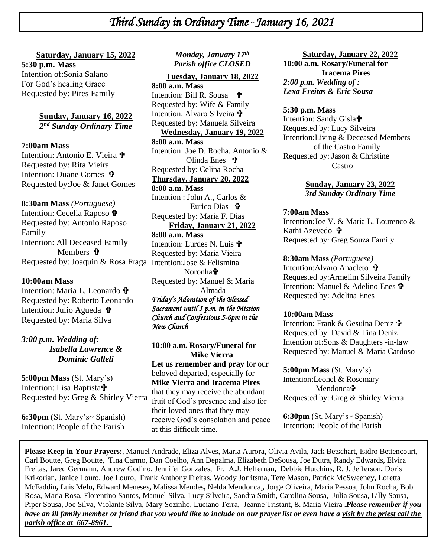### **Saturday, January 15, 2022**

**+ 5:30 p.m. Mass**   *\* Requested by: Pires Family Intention of:Sonia Salano For God's healing Grace

> **Sunday, January 16, 2022** *2 nd Sunday Ordinary Time*

#### **7:00am Mass**

Intention: Antonio E. Vieira + Requested by: Rita Vieira Intention: Duane Gomes Requested by:Joe & Janet Gomes

#### **8:30am Mass** *(Portuguese)*

Intention: Cecelia Raposo Requested by: Antonio Raposo Family Intention: All Deceased Family Members  $\mathbf{\hat{v}}$ Requested by: Joaquin & Rosa Fraga Intention:Jose & Felismina

#### **10:00am Mass**

Intention: Maria L. Leonardo  $\mathbf{\hat{\mathbf{P}}}$ Requested by: Roberto Leonardo Intention: Julio Agueda <sup>+</sup> Requested by: Maria Silva

### *3:00 p.m. Wedding of: Isabella Lawrence & Dominic Galleli*

**5:00pm Mass** (St. Mary's) Intention: Lisa Baptista<sup>t</sup> Requested by: Greg & Shirley Vierra

**6:30pm** (St. Mary's~ Spanish) Intention: People of the Parish

### *Monday, January 17th Parish office CLOSED*

#### **Tuesday, January 18, 2022**

**8:00 a.m. Mass** Intention: Bill R. Sousa 争 Requested by: Wife & Family Intention: Alvaro Silveira Requested by: Manuela Silveira **Wednesday, January 19, 2022 8:00 a.m. Mass** Intention: Joe D. Rocha, Antonio & Olinda Enes **立** Requested by: Celina Rocha **Thursday, January 20, 2022 8:00 a.m. Mass** Intention : John A., Carlos & Eurico Dias Requested by: Maria F. Dias **Friday, January 21, 2022 8:00 a.m. Mass** Intention: Lurdes N. Luis Requested by: Maria Vieira Noronha Requested by: Manuel & Maria Almada *Friday's Adoration of the Blessed Sacrament until 5 p.m. in the Mission Church and Confessions 5-6pm in the New Church* 

**10:00 a.m. Rosary/Funeral for Mike Vierra Let us remember and pray** for our beloved departed, especially for **Mike Vierra and Iracema Pires**  that they may receive the abundant fruit of God's presence and also for their loved ones that they may receive God's consolation and peace at this difficult time.

#### **Saturday, January 22, 2022 10:00 a.m. Rosary/Funeral for Iracema Pires** *2:00 p.m. Wedding of : Lexa Freitas & Eric Sousa*

#### **5:30 p.m. Mass**

Intention: Sandy Gisla $\ddagger$ Requested by: Lucy Silveira Intention:Living & Deceased Members of the Castro Family Requested by: Jason & Christine Castro

> **Sunday, January 23, 2022** *3rd Sunday Ordinary Time*

#### **7:00am Mass**

Intention:Joe V. & Maria L. Lourenco & Kathi Azevedo **†** Requested by: Greg Souza Family

#### **8:30am Mass** *(Portuguese)*

Intention: Alvaro Anacleto **t** Requested by:Armelim Silveira Family Intention: Manuel & Adelino Enes Requested by: Adelina Enes

#### **10:00am Mass**

Intention: Frank & Gesuina Deniz Requested by: David & Tina Deniz Intention of:Sons & Daughters -in-law Requested by: Manuel & Maria Cardoso

#### **5:00pm Mass** (St. Mary's)

Intention:Leonel & Rosemary Mendonca**th** Requested by: Greg & Shirley Vierra

**6:30pm** (St. Mary's~ Spanish) Intention: People of the Parish

**Please Keep in Your Prayers:**, Manuel Andrade, Eliza Alves, Maria Aurora**,** Olivia Avila, Jack Betschart, Isidro Bettencourt, Carl Boutte, Greg Boutte**,** Tina Carmo, Dan Coelho, Ann Depalma, Elizabeth DeSousa, Joe Dutra, Randy Edwards, Elvira Freitas, Jared Germann, Andrew Godino, Jennifer Gonzales, Fr. A.J. Heffernan**,** Debbie Hutchins, R. J. Jefferson**,** Doris Krikorian, Janice Louro, Joe Louro, Frank Anthony Freitas, Woody Jorritsma, Tere Mason, Patrick McSweeney, Loretta McFaddin**,** Luis Melo**,** Edward Meneses**,** Malissa Mendes**,** Nelda Mendonca,*,* Jorge Oliveira, Maria Pessoa, John Rocha, Bob Rosa, Maria Rosa, Florentino Santos, Manuel Silva, Lucy Silveira**,** Sandra Smith, Carolina Sousa, Julia Sousa, Lilly Sousa**,**  Piper Sousa, Joe Silva, Violante Silva, Mary Sozinho, Luciano Terra, Jeanne Tristant, & Maria Vieira .*Please remember if you have an ill family member or friend that you would like to include on our prayer list or even have a visit by the priest call the parish office at 667-8961.*